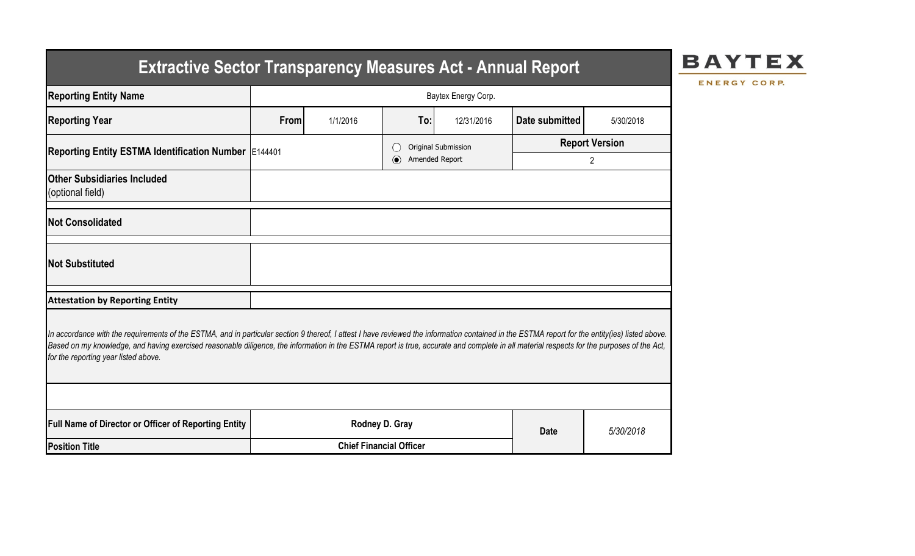# **Extractive Sector Transparency Measures Act - Annual Report**



ENERGY CORP.

| <b>Reporting Entity Name</b>                                                                                                                                                                                                                                                                                                                                                                                                          | Baytex Energy Corp.            |          |                           |                     |                       |           |  |  |  |  |
|---------------------------------------------------------------------------------------------------------------------------------------------------------------------------------------------------------------------------------------------------------------------------------------------------------------------------------------------------------------------------------------------------------------------------------------|--------------------------------|----------|---------------------------|---------------------|-----------------------|-----------|--|--|--|--|
| <b>Reporting Year</b>                                                                                                                                                                                                                                                                                                                                                                                                                 | From                           | 1/1/2016 | To:                       | 12/31/2016          | Date submitted        | 5/30/2018 |  |  |  |  |
| Reporting Entity ESTMA Identification Number   E144401                                                                                                                                                                                                                                                                                                                                                                                |                                |          |                           | Original Submission | <b>Report Version</b> |           |  |  |  |  |
|                                                                                                                                                                                                                                                                                                                                                                                                                                       |                                |          | Amended Report<br>$\odot$ |                     | $\overline{2}$        |           |  |  |  |  |
| <b>Other Subsidiaries Included</b><br>(optional field)                                                                                                                                                                                                                                                                                                                                                                                |                                |          |                           |                     |                       |           |  |  |  |  |
| <b>Not Consolidated</b>                                                                                                                                                                                                                                                                                                                                                                                                               |                                |          |                           |                     |                       |           |  |  |  |  |
| <b>Not Substituted</b>                                                                                                                                                                                                                                                                                                                                                                                                                |                                |          |                           |                     |                       |           |  |  |  |  |
| <b>Attestation by Reporting Entity</b>                                                                                                                                                                                                                                                                                                                                                                                                |                                |          |                           |                     |                       |           |  |  |  |  |
| In accordance with the requirements of the ESTMA, and in particular section 9 thereof, I attest I have reviewed the information contained in the ESTMA report for the entity(ies) listed above.<br>Based on my knowledge, and having exercised reasonable diligence, the information in the ESTMA report is true, accurate and complete in all material respects for the purposes of the Act,<br>for the reporting year listed above. |                                |          |                           |                     |                       |           |  |  |  |  |
|                                                                                                                                                                                                                                                                                                                                                                                                                                       |                                |          |                           |                     |                       |           |  |  |  |  |
| Full Name of Director or Officer of Reporting Entity                                                                                                                                                                                                                                                                                                                                                                                  |                                |          | Rodney D. Gray            |                     | <b>Date</b>           | 5/30/2018 |  |  |  |  |
| <b>Position Title</b>                                                                                                                                                                                                                                                                                                                                                                                                                 | <b>Chief Financial Officer</b> |          |                           |                     |                       |           |  |  |  |  |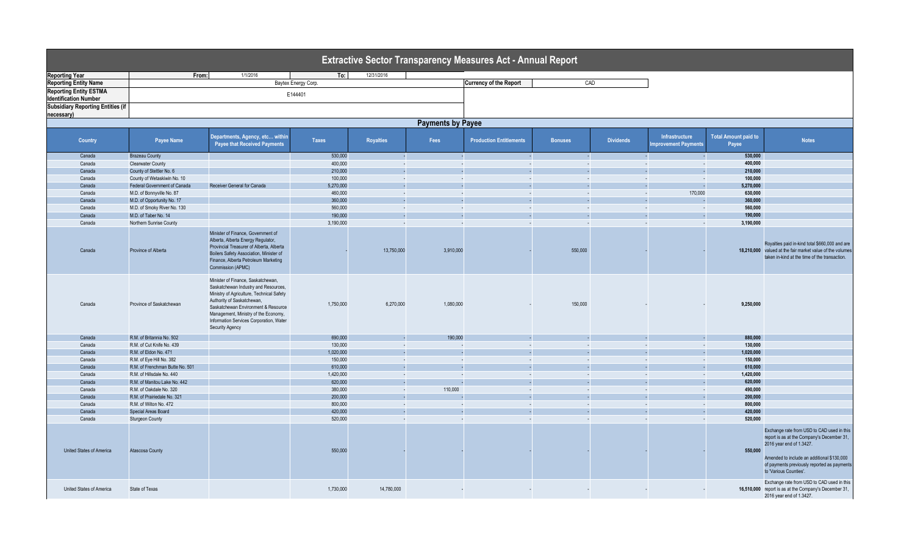|                                          |                                 |                                                                                                                                                                                                                                                                                                    |                     |                  |                          | <b>Extractive Sector Transparency Measures Act - Annual Report</b> |                |                  |                                       |                                      |                                                                                                                                                                                                                                             |
|------------------------------------------|---------------------------------|----------------------------------------------------------------------------------------------------------------------------------------------------------------------------------------------------------------------------------------------------------------------------------------------------|---------------------|------------------|--------------------------|--------------------------------------------------------------------|----------------|------------------|---------------------------------------|--------------------------------------|---------------------------------------------------------------------------------------------------------------------------------------------------------------------------------------------------------------------------------------------|
| <b>Reporting Year</b>                    | From:                           | 1/1/2016                                                                                                                                                                                                                                                                                           | To:                 | 12/31/2016       |                          |                                                                    |                |                  |                                       |                                      |                                                                                                                                                                                                                                             |
| <b>Reporting Entity Name</b>             |                                 |                                                                                                                                                                                                                                                                                                    | Baytex Energy Corp. |                  |                          | <b>Currency of the Report</b>                                      |                | CAD              |                                       |                                      |                                                                                                                                                                                                                                             |
| <b>Reporting Entity ESTMA</b>            |                                 |                                                                                                                                                                                                                                                                                                    |                     |                  |                          |                                                                    |                |                  |                                       |                                      |                                                                                                                                                                                                                                             |
| <b>Identification Number</b>             |                                 |                                                                                                                                                                                                                                                                                                    | E144401             |                  |                          |                                                                    |                |                  |                                       |                                      |                                                                                                                                                                                                                                             |
| <b>Subsidiary Reporting Entities (if</b> |                                 |                                                                                                                                                                                                                                                                                                    |                     |                  |                          |                                                                    |                |                  |                                       |                                      |                                                                                                                                                                                                                                             |
| necessary)                               |                                 |                                                                                                                                                                                                                                                                                                    |                     |                  |                          |                                                                    |                |                  |                                       |                                      |                                                                                                                                                                                                                                             |
|                                          |                                 |                                                                                                                                                                                                                                                                                                    |                     |                  | <b>Payments by Payee</b> |                                                                    |                |                  |                                       |                                      |                                                                                                                                                                                                                                             |
|                                          |                                 |                                                                                                                                                                                                                                                                                                    |                     |                  |                          |                                                                    |                |                  |                                       |                                      |                                                                                                                                                                                                                                             |
| <b>Country</b>                           | Payee Name                      | Departments, Agency, etc within<br><b>Payee that Received Payments</b>                                                                                                                                                                                                                             | <b>Taxes</b>        | <b>Royalties</b> | Fees                     | <b>Production Entitlements</b>                                     | <b>Bonuses</b> | <b>Dividends</b> | Infrastructure<br>mprovement Payments | <b>Total Amount paid to</b><br>Payee | <b>Notes</b>                                                                                                                                                                                                                                |
| Canada                                   | <b>Brazeau County</b>           |                                                                                                                                                                                                                                                                                                    | 530,000             |                  | $\sim$                   |                                                                    |                |                  |                                       | 530,000                              |                                                                                                                                                                                                                                             |
| Canada                                   | Clearwater County               |                                                                                                                                                                                                                                                                                                    | 400,000             | - 1              | $\sim$                   | $\sim$                                                             | - 1            |                  | $\sim$<br>$\sim$                      | 400.000                              |                                                                                                                                                                                                                                             |
| Canada                                   | County of Stettler No. 6        |                                                                                                                                                                                                                                                                                                    | 210,000             |                  |                          |                                                                    |                |                  |                                       | 210.000                              |                                                                                                                                                                                                                                             |
| Canada                                   | County of Wetaskiwin No. 10     |                                                                                                                                                                                                                                                                                                    | 100,000             | $\sim$           | $\sim$                   | $\sim$                                                             | $\sim$         |                  | $\sim$<br>÷.                          | 100,000                              |                                                                                                                                                                                                                                             |
| Canada                                   | Federal Government of Canada    | Receiver General for Canada                                                                                                                                                                                                                                                                        | 5,270,000           |                  |                          |                                                                    |                |                  | ÷.                                    | 5,270,000                            |                                                                                                                                                                                                                                             |
| Canada                                   | M.D. of Bonnyville No. 87       |                                                                                                                                                                                                                                                                                                    | 460,000             | $\sim$           | $\sim$                   |                                                                    |                |                  | 170,000<br>$\sim$                     | 630,000                              |                                                                                                                                                                                                                                             |
| Canada                                   | M.D. of Opportunity No. 17      |                                                                                                                                                                                                                                                                                                    | 360,000             |                  |                          |                                                                    |                |                  |                                       | 360,000                              |                                                                                                                                                                                                                                             |
| Canada                                   | M.D. of Smoky River No. 130     |                                                                                                                                                                                                                                                                                                    | 560,000             | $\sim$           | $\sim$                   | $\sim$                                                             | - 1            |                  | $\sim$<br>$\sim$                      | 560,000                              |                                                                                                                                                                                                                                             |
| Canada                                   | M.D. of Taber No. 14            |                                                                                                                                                                                                                                                                                                    | 190,000             |                  | ÷.                       |                                                                    |                |                  |                                       | 190,000                              |                                                                                                                                                                                                                                             |
| Canada                                   | Northern Sunrise County         |                                                                                                                                                                                                                                                                                                    | 3,190,000           | - 1              | $\sim$                   |                                                                    |                |                  | <b>COL</b><br>$\sim$                  | 3,190,000                            |                                                                                                                                                                                                                                             |
| Canada                                   | Province of Alberta             | Minister of Finance, Government of<br>Alberta, Alberta Energy Regulator,<br>Provincial Treasurer of Alberta, Alberta<br>Boilers Safety Association, Minister of<br>Finance, Alberta Petroleum Marketing<br>Commission (APMC)                                                                       |                     | 13,750,000       | 3,910,000                |                                                                    | 550,000        |                  |                                       |                                      | Royalties paid in-kind total \$660,000 and are<br>18,210,000 valued at the fair market value of the volumes<br>taken in-kind at the time of the transaction.                                                                                |
| Canada                                   | Province of Saskatchewan        | Minister of Finance, Saskatchewan,<br>Saskatchewan Industry and Resources,<br>Ministry of Agriculture, Technical Safety<br>Authority of Saskatchewan,<br>Saskatchewan Environment & Resource<br>Management, Ministry of the Economy,<br>Information Services Corporation, Water<br>Security Agency | 1,750,000           | 6,270,000        | 1.080.000                |                                                                    | 150,000        |                  |                                       | 9,250,000                            |                                                                                                                                                                                                                                             |
| Canada                                   | R.M. of Britannia No. 502       |                                                                                                                                                                                                                                                                                                    | 690,000             |                  | 190,000                  |                                                                    |                |                  |                                       | 880,000                              |                                                                                                                                                                                                                                             |
| Canada                                   | R.M. of Cut Knife No. 439       |                                                                                                                                                                                                                                                                                                    | 130,000             | $\sim$           | $\sim$                   | $\sim$                                                             | <b>COL</b>     |                  | ÷.<br>$\sim$                          | 130,000                              |                                                                                                                                                                                                                                             |
| Canada                                   | R.M. of Eldon No. 471           |                                                                                                                                                                                                                                                                                                    | 1,020,000           |                  | ÷.                       |                                                                    |                |                  | $\sim$                                | 1,020,000                            |                                                                                                                                                                                                                                             |
| Canada                                   | R.M. of Eye Hill No. 382        |                                                                                                                                                                                                                                                                                                    | 150,000             | $\sim$           | $\sim$                   | $\sim$                                                             | - 1            |                  | $\sim$<br>$\sim$                      | 150,000                              |                                                                                                                                                                                                                                             |
| Canada                                   | R.M. of Frenchman Butte No. 501 |                                                                                                                                                                                                                                                                                                    | 610,000             |                  | ÷.                       |                                                                    |                |                  | . п.                                  | 610.000                              |                                                                                                                                                                                                                                             |
| Canada                                   | R.M. of Hillsdale No. 440       |                                                                                                                                                                                                                                                                                                    | 1,420,000           | $\sim$           | $\sim$                   | <b>.</b>                                                           | $\sim$         |                  | $\sim$<br>×.                          | 1.420.000                            |                                                                                                                                                                                                                                             |
| Canada                                   | R.M. of Manitou Lake No. 442    |                                                                                                                                                                                                                                                                                                    | 620,000             |                  |                          |                                                                    |                |                  |                                       | 620,000                              |                                                                                                                                                                                                                                             |
| Canada                                   | R.M. of Oakdale No. 320         |                                                                                                                                                                                                                                                                                                    | 380,000             | $\sim$           | 110,000                  | $\sim$                                                             | $\sim$         |                  | $\sim$<br>$\sim$                      | 490,000                              |                                                                                                                                                                                                                                             |
| Canada                                   | R.M. of Prairiedale No. 321     |                                                                                                                                                                                                                                                                                                    | 200,000             |                  |                          |                                                                    |                |                  |                                       | 200,000                              |                                                                                                                                                                                                                                             |
| Canada                                   | R.M. of Wilton No. 472          |                                                                                                                                                                                                                                                                                                    | 800,000             | $\sim$           | $\sim$                   |                                                                    |                |                  | $\sim$<br>$\sim$                      | 800,000                              |                                                                                                                                                                                                                                             |
| Canada                                   | Special Areas Board             |                                                                                                                                                                                                                                                                                                    | 420,000             |                  |                          |                                                                    |                |                  |                                       | 420,000                              |                                                                                                                                                                                                                                             |
| Canada                                   | <b>Sturgeon County</b>          |                                                                                                                                                                                                                                                                                                    | 520,000             | $\sim$           | $\sim$                   | $\sim$                                                             | - 11           |                  | <b>COL</b><br>$\sim$                  | 520,000                              |                                                                                                                                                                                                                                             |
| United States of America                 | Atascosa County                 |                                                                                                                                                                                                                                                                                                    | 550,000             |                  |                          |                                                                    |                |                  |                                       | 550,000                              | Exchange rate from USD to CAD used in this<br>report is as at the Company's December 31,<br>2016 year end of 1.3427.<br>Amended to include an additional \$130,000<br>of payments previously reported as payments<br>to 'Various Counties'. |
| United States of America                 | State of Texas                  |                                                                                                                                                                                                                                                                                                    | 1,730,000           | 14,780,000       |                          |                                                                    |                |                  |                                       |                                      | Exchange rate from USD to CAD used in this<br>16,510,000 report is as at the Company's December 31,<br>2016 year end of 1.3427.                                                                                                             |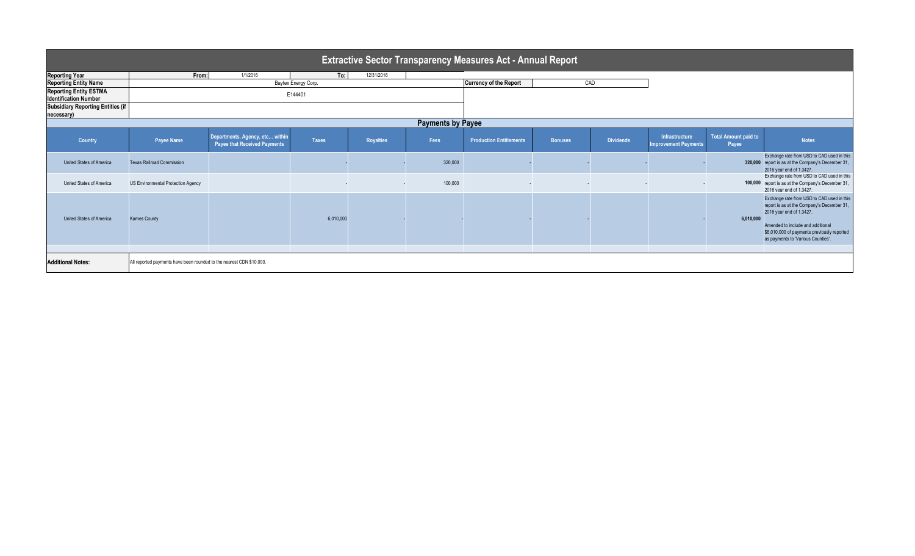| <b>Extractive Sector Transparency Measures Act - Annual Report</b> |                                                                      |                                                                        |              |                  |         |                                |                |                  |                                               |                                      |                                                                                                                                                                                                                                                |  |
|--------------------------------------------------------------------|----------------------------------------------------------------------|------------------------------------------------------------------------|--------------|------------------|---------|--------------------------------|----------------|------------------|-----------------------------------------------|--------------------------------------|------------------------------------------------------------------------------------------------------------------------------------------------------------------------------------------------------------------------------------------------|--|
| <b>Reporting Year</b>                                              | From:                                                                | 1/1/2016                                                               | To:          | 12/31/2016       |         |                                |                |                  |                                               |                                      |                                                                                                                                                                                                                                                |  |
| <b>Reporting Entity Name</b>                                       | <b>Currency of the Report</b><br>Baytex Energy Corp.                 |                                                                        |              |                  |         |                                |                | CAD              |                                               |                                      |                                                                                                                                                                                                                                                |  |
| <b>Reporting Entity ESTMA</b><br><b>Identification Number</b>      |                                                                      |                                                                        |              |                  |         |                                |                |                  |                                               |                                      |                                                                                                                                                                                                                                                |  |
| <b>Subsidiary Reporting Entities (if</b><br>necessary)             |                                                                      |                                                                        |              |                  |         |                                |                |                  |                                               |                                      |                                                                                                                                                                                                                                                |  |
| <b>Payments by Payee</b>                                           |                                                                      |                                                                        |              |                  |         |                                |                |                  |                                               |                                      |                                                                                                                                                                                                                                                |  |
| <b>Country</b>                                                     | Payee Name                                                           | Departments, Agency, etc within<br><b>Payee that Received Payments</b> | <b>Taxes</b> | <b>Royalties</b> | Fees    | <b>Production Entitlements</b> | <b>Bonuses</b> | <b>Dividends</b> | Infrastructure<br><b>Improvement Payments</b> | <b>Total Amount paid to</b><br>Payee | <b>Notes</b>                                                                                                                                                                                                                                   |  |
| United States of America                                           | <b>Texas Railroad Commission</b>                                     |                                                                        |              |                  | 320,000 |                                |                |                  |                                               |                                      | Exchange rate from USD to CAD used in this<br>320,000 report is as at the Company's December 31,<br>2016 year end of 1.3427.                                                                                                                   |  |
| United States of America                                           | US Environmental Protection Agency                                   |                                                                        |              |                  | 100,000 |                                |                |                  |                                               |                                      | Exchange rate from USD to CAD used in this<br>100,000 report is as at the Company's December 31,<br>2016 year end of 1.3427.                                                                                                                   |  |
| United States of America                                           | <b>Karnes County</b>                                                 |                                                                        | 6.010.000    |                  |         |                                |                |                  |                                               | 6.010.000                            | Exchange rate from USD to CAD used in this<br>report is as at the Company's December 31,<br>2016 year end of 1.3427.<br>Amended to include and additional<br>\$6,010,000 of payments previously reported<br>as payments to 'Various Counties'. |  |
| <b>Additional Notes:</b>                                           | All reported payments have been rounded to the nearest CDN \$10,000. |                                                                        |              |                  |         |                                |                |                  |                                               |                                      |                                                                                                                                                                                                                                                |  |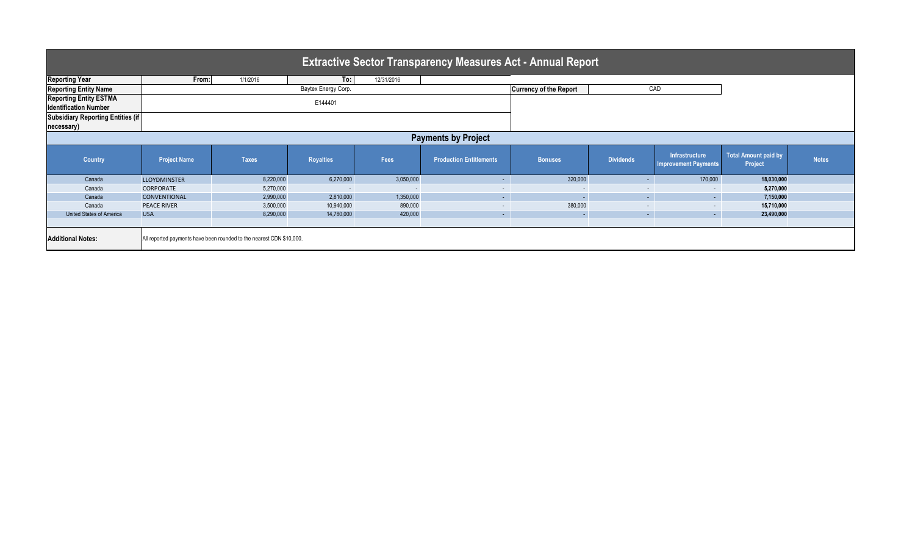| <b>Extractive Sector Transparency Measures Act - Annual Report</b> |                                                                      |              |                     |                          |                                |                          |                  |                                               |                                        |              |  |  |
|--------------------------------------------------------------------|----------------------------------------------------------------------|--------------|---------------------|--------------------------|--------------------------------|--------------------------|------------------|-----------------------------------------------|----------------------------------------|--------------|--|--|
|                                                                    |                                                                      |              |                     |                          |                                |                          |                  |                                               |                                        |              |  |  |
| <b>Reporting Year</b>                                              | From:                                                                | 1/1/2016     | To:                 | 12/31/2016               |                                |                          |                  |                                               |                                        |              |  |  |
| <b>Reporting Entity Name</b>                                       |                                                                      |              | Baytex Energy Corp. |                          | <b>Currency of the Report</b>  |                          | CAD              |                                               |                                        |              |  |  |
| <b>Reporting Entity ESTMA</b>                                      |                                                                      |              | E144401             |                          |                                |                          |                  |                                               |                                        |              |  |  |
| <b>Identification Number</b>                                       |                                                                      |              |                     |                          |                                |                          |                  |                                               |                                        |              |  |  |
| <b>Subsidiary Reporting Entities (if</b>                           |                                                                      |              |                     |                          |                                |                          |                  |                                               |                                        |              |  |  |
| necessary)                                                         |                                                                      |              |                     |                          |                                |                          |                  |                                               |                                        |              |  |  |
| <b>Payments by Project</b>                                         |                                                                      |              |                     |                          |                                |                          |                  |                                               |                                        |              |  |  |
| <b>Country</b>                                                     | <b>Project Name</b>                                                  | <b>Taxes</b> | <b>Royalties</b>    | Fees                     | <b>Production Entitlements</b> | <b>Bonuses</b>           | <b>Dividends</b> | Infrastructure<br><b>Improvement Payments</b> | <b>Total Amount paid by</b><br>Project | <b>Notes</b> |  |  |
| Canada                                                             | <b>LLOYDMINSTER</b>                                                  | 8,220,000    | 6,270,000           | 3,050,000                | $\overline{\phantom{a}}$       | 320,000                  |                  | 170,000                                       | 18,030,000                             |              |  |  |
| Canada                                                             | <b>CORPORATE</b>                                                     | 5,270,000    | $\sim$              | $\overline{\phantom{a}}$ | $\sim$                         | $\overline{\phantom{0}}$ | $\sim$           | $\sim$                                        | 5,270,000                              |              |  |  |
| Canada                                                             | <b>CONVENTIONAL</b>                                                  | 2,990,000    | 2,810,000           | 1,350,000                | $\sim$                         |                          | $\sim$           | $\sim 10$                                     | 7,150,000                              |              |  |  |
| Canada                                                             | <b>PEACE RIVER</b>                                                   | 3,500,000    | 10,940,000          | 890,000                  | $\sim$                         | 380,000                  | $\sim$           | $\sim$                                        | 15,710,000                             |              |  |  |
| <b>United States of America</b>                                    | <b>USA</b>                                                           | 8,290,000    | 14,780,000          | 420,000                  | $\sim$                         |                          | $\sim$           | $\sim 100$                                    | 23,490,000                             |              |  |  |
|                                                                    |                                                                      |              |                     |                          |                                |                          |                  |                                               |                                        |              |  |  |
| <b>Additional Notes:</b>                                           | All reported payments have been rounded to the nearest CDN \$10,000. |              |                     |                          |                                |                          |                  |                                               |                                        |              |  |  |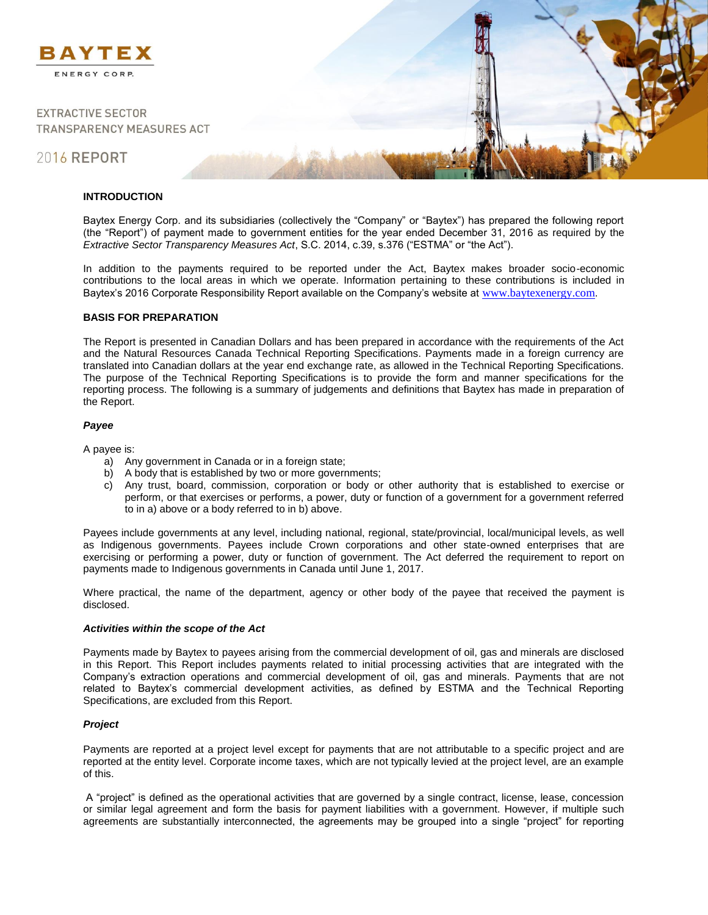

**EXTRACTIVE SECTOR TRANSPARENCY MEASURES ACT** 

# 2016 REPORT

# **INTRODUCTION**

Baytex Energy Corp. and its subsidiaries (collectively the "Company" or "Baytex") has prepared the following report (the "Report") of payment made to government entities for the year ended December 31, 2016 as required by the *Extractive Sector Transparency Measures Act*, S.C. 2014, c.39, s.376 ("ESTMA" or "the Act").

In addition to the payments required to be reported under the Act, Baytex makes broader socio-economic contributions to the local areas in which we operate. Information pertaining to these contributions is included in Baytex's 2016 Corporate Responsibility Report available on the Company's website at [www.baytexenergy.com](http://www.baytexenergy.com/).

# **BASIS FOR PREPARATION**

The Report is presented in Canadian Dollars and has been prepared in accordance with the requirements of the Act and the Natural Resources Canada Technical Reporting Specifications. Payments made in a foreign currency are translated into Canadian dollars at the year end exchange rate, as allowed in the Technical Reporting Specifications. The purpose of the Technical Reporting Specifications is to provide the form and manner specifications for the reporting process. The following is a summary of judgements and definitions that Baytex has made in preparation of the Report.

#### *Payee*

A payee is:

- a) Any government in Canada or in a foreign state;
- b) A body that is established by two or more governments;
- c) Any trust, board, commission, corporation or body or other authority that is established to exercise or perform, or that exercises or performs, a power, duty or function of a government for a government referred to in a) above or a body referred to in b) above.

Payees include governments at any level, including national, regional, state/provincial, local/municipal levels, as well as Indigenous governments. Payees include Crown corporations and other state-owned enterprises that are exercising or performing a power, duty or function of government. The Act deferred the requirement to report on payments made to Indigenous governments in Canada until June 1, 2017.

Where practical, the name of the department, agency or other body of the payee that received the payment is disclosed.

# *Activities within the scope of the Act*

Payments made by Baytex to payees arising from the commercial development of oil, gas and minerals are disclosed in this Report. This Report includes payments related to initial processing activities that are integrated with the Company's extraction operations and commercial development of oil, gas and minerals. Payments that are not related to Baytex's commercial development activities, as defined by ESTMA and the Technical Reporting Specifications, are excluded from this Report.

# *Project*

Payments are reported at a project level except for payments that are not attributable to a specific project and are reported at the entity level. Corporate income taxes, which are not typically levied at the project level, are an example of this.

A "project" is defined as the operational activities that are governed by a single contract, license, lease, concession or similar legal agreement and form the basis for payment liabilities with a government. However, if multiple such agreements are substantially interconnected, the agreements may be grouped into a single "project" for reporting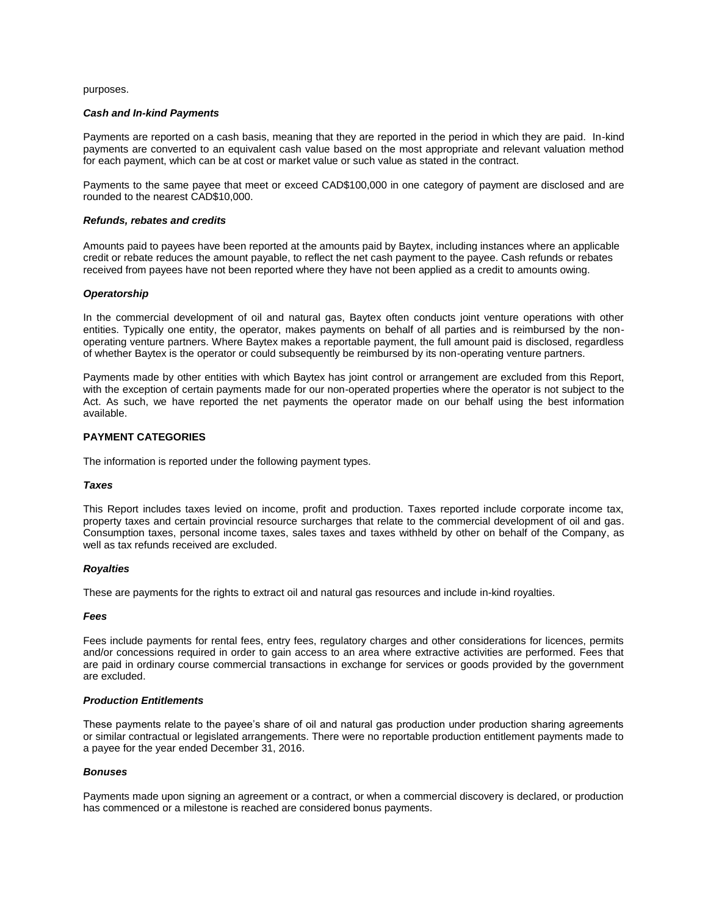purposes.

#### *Cash and In-kind Payments*

Payments are reported on a cash basis, meaning that they are reported in the period in which they are paid. In-kind payments are converted to an equivalent cash value based on the most appropriate and relevant valuation method for each payment, which can be at cost or market value or such value as stated in the contract.

Payments to the same payee that meet or exceed CAD\$100,000 in one category of payment are disclosed and are rounded to the nearest CAD\$10,000.

#### *Refunds, rebates and credits*

Amounts paid to payees have been reported at the amounts paid by Baytex, including instances where an applicable credit or rebate reduces the amount payable, to reflect the net cash payment to the payee. Cash refunds or rebates received from payees have not been reported where they have not been applied as a credit to amounts owing.

#### *Operatorship*

In the commercial development of oil and natural gas, Baytex often conducts joint venture operations with other entities. Typically one entity, the operator, makes payments on behalf of all parties and is reimbursed by the nonoperating venture partners. Where Baytex makes a reportable payment, the full amount paid is disclosed, regardless of whether Baytex is the operator or could subsequently be reimbursed by its non-operating venture partners.

Payments made by other entities with which Baytex has joint control or arrangement are excluded from this Report, with the exception of certain payments made for our non-operated properties where the operator is not subject to the Act. As such, we have reported the net payments the operator made on our behalf using the best information available.

# **PAYMENT CATEGORIES**

The information is reported under the following payment types.

#### *Taxes*

This Report includes taxes levied on income, profit and production. Taxes reported include corporate income tax, property taxes and certain provincial resource surcharges that relate to the commercial development of oil and gas. Consumption taxes, personal income taxes, sales taxes and taxes withheld by other on behalf of the Company, as well as tax refunds received are excluded.

#### *Royalties*

These are payments for the rights to extract oil and natural gas resources and include in-kind royalties.

#### *Fees*

Fees include payments for rental fees, entry fees, regulatory charges and other considerations for licences, permits and/or concessions required in order to gain access to an area where extractive activities are performed. Fees that are paid in ordinary course commercial transactions in exchange for services or goods provided by the government are excluded.

#### *Production Entitlements*

These payments relate to the payee's share of oil and natural gas production under production sharing agreements or similar contractual or legislated arrangements. There were no reportable production entitlement payments made to a payee for the year ended December 31, 2016.

#### *Bonuses*

Payments made upon signing an agreement or a contract, or when a commercial discovery is declared, or production has commenced or a milestone is reached are considered bonus payments.